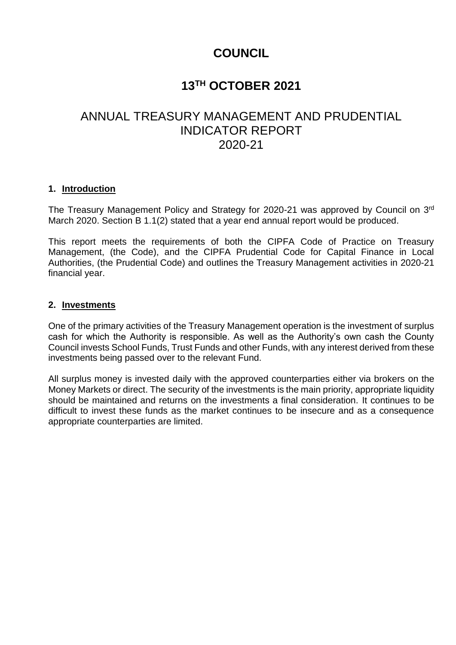# **COUNCIL**

# **13TH OCTOBER 2021**

# ANNUAL TREASURY MANAGEMENT AND PRUDENTIAL INDICATOR REPORT 2020-21

### **1. Introduction**

The Treasury Management Policy and Strategy for 2020-21 was approved by Council on 3<sup>rd</sup> March 2020. Section B 1.1(2) stated that a year end annual report would be produced.

This report meets the requirements of both the CIPFA Code of Practice on Treasury Management, (the Code), and the CIPFA Prudential Code for Capital Finance in Local Authorities, (the Prudential Code) and outlines the Treasury Management activities in 2020-21 financial year.

#### **2. Investments**

One of the primary activities of the Treasury Management operation is the investment of surplus cash for which the Authority is responsible. As well as the Authority's own cash the County Council invests School Funds, Trust Funds and other Funds, with any interest derived from these investments being passed over to the relevant Fund.

All surplus money is invested daily with the approved counterparties either via brokers on the Money Markets or direct. The security of the investments is the main priority, appropriate liquidity should be maintained and returns on the investments a final consideration. It continues to be difficult to invest these funds as the market continues to be insecure and as a consequence appropriate counterparties are limited.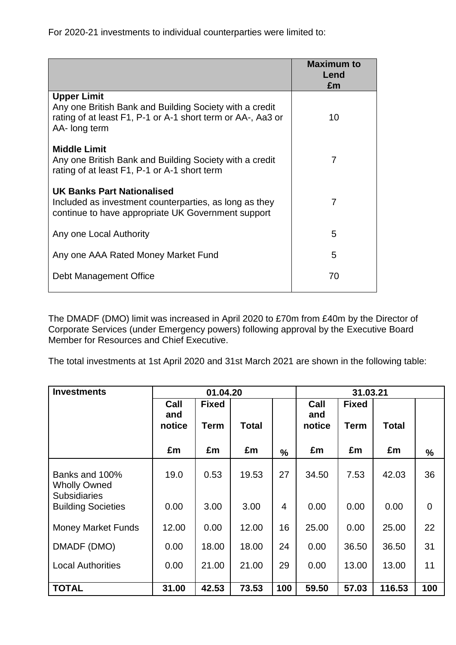For 2020-21 investments to individual counterparties were limited to:

|                                                                                                                                                               | <b>Maximum to</b><br>Lend<br>£m |
|---------------------------------------------------------------------------------------------------------------------------------------------------------------|---------------------------------|
| <b>Upper Limit</b><br>Any one British Bank and Building Society with a credit<br>rating of at least F1, P-1 or A-1 short term or AA-, Aa3 or<br>AA- long term | 10                              |
| <b>Middle Limit</b><br>Any one British Bank and Building Society with a credit<br>rating of at least F1, P-1 or A-1 short term                                | 7                               |
| <b>UK Banks Part Nationalised</b><br>Included as investment counterparties, as long as they<br>continue to have appropriate UK Government support             | 7                               |
| Any one Local Authority                                                                                                                                       | 5                               |
| Any one AAA Rated Money Market Fund                                                                                                                           | 5                               |
| Debt Management Office                                                                                                                                        | 70                              |

The DMADF (DMO) limit was increased in April 2020 to £70m from £40m by the Director of Corporate Services (under Emergency powers) following approval by the Executive Board Member for Resources and Chief Executive.

The total investments at 1st April 2020 and 31st March 2021 are shown in the following table:

| <b>Investments</b>                               | 01.04.20              |                             |              |                | 31.03.21              |                             |              |             |
|--------------------------------------------------|-----------------------|-----------------------------|--------------|----------------|-----------------------|-----------------------------|--------------|-------------|
|                                                  | Call<br>and<br>notice | <b>Fixed</b><br><b>Term</b> | <b>Total</b> |                | Call<br>and<br>notice | <b>Fixed</b><br><b>Term</b> | <b>Total</b> |             |
|                                                  | £m                    | £m                          | £m           | $\frac{9}{6}$  | £m                    | £m                          | £m           | %           |
| Banks and 100%<br><b>Wholly Owned</b>            | 19.0                  | 0.53                        | 19.53        | 27             | 34.50                 | 7.53                        | 42.03        | 36          |
| <b>Subsidiaries</b><br><b>Building Societies</b> | 0.00                  | 3.00                        | 3.00         | $\overline{4}$ | 0.00                  | 0.00                        | 0.00         | $\mathbf 0$ |
| <b>Money Market Funds</b>                        | 12.00                 | 0.00                        | 12.00        | 16             | 25.00                 | 0.00                        | 25.00        | 22          |
| DMADF (DMO)                                      | 0.00                  | 18.00                       | 18.00        | 24             | 0.00                  | 36.50                       | 36.50        | 31          |
| <b>Local Authorities</b>                         | 0.00                  | 21.00                       | 21.00        | 29             | 0.00                  | 13.00                       | 13.00        | 11          |
| <b>TOTAL</b>                                     | 31.00                 | 42.53                       | 73.53        | 100            | 59.50                 | 57.03                       | 116.53       | 100         |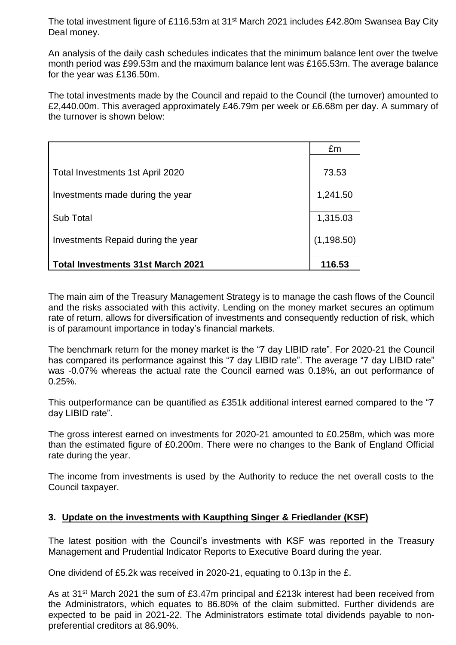The total investment figure of £116.53m at 31<sup>st</sup> March 2021 includes £42.80m Swansea Bay City Deal money.

An analysis of the daily cash schedules indicates that the minimum balance lent over the twelve month period was £99.53m and the maximum balance lent was £165.53m. The average balance for the year was £136.50m.

The total investments made by the Council and repaid to the Council (the turnover) amounted to £2,440.00m. This averaged approximately £46.79m per week or £6.68m per day. A summary of the turnover is shown below:

|                                          | £m          |
|------------------------------------------|-------------|
| Total Investments 1st April 2020         | 73.53       |
| Investments made during the year         | 1,241.50    |
| <b>Sub Total</b>                         | 1,315.03    |
| Investments Repaid during the year       | (1, 198.50) |
| <b>Total Investments 31st March 2021</b> | 116.53      |

The main aim of the Treasury Management Strategy is to manage the cash flows of the Council and the risks associated with this activity. Lending on the money market secures an optimum rate of return, allows for diversification of investments and consequently reduction of risk, which is of paramount importance in today's financial markets.

The benchmark return for the money market is the "7 day LIBID rate". For 2020-21 the Council has compared its performance against this "7 day LIBID rate". The average "7 day LIBID rate" was -0.07% whereas the actual rate the Council earned was 0.18%, an out performance of 0.25%.

This outperformance can be quantified as £351k additional interest earned compared to the "7 day LIBID rate".

The gross interest earned on investments for 2020-21 amounted to £0.258m, which was more than the estimated figure of £0.200m. There were no changes to the Bank of England Official rate during the year.

The income from investments is used by the Authority to reduce the net overall costs to the Council taxpayer.

## **3. Update on the investments with Kaupthing Singer & Friedlander (KSF)**

The latest position with the Council's investments with KSF was reported in the Treasury Management and Prudential Indicator Reports to Executive Board during the year.

One dividend of £5.2k was received in 2020-21, equating to 0.13p in the £.

As at 31<sup>st</sup> March 2021 the sum of £3.47m principal and £213k interest had been received from the Administrators, which equates to 86.80% of the claim submitted. Further dividends are expected to be paid in 2021-22. The Administrators estimate total dividends payable to nonpreferential creditors at 86.90%.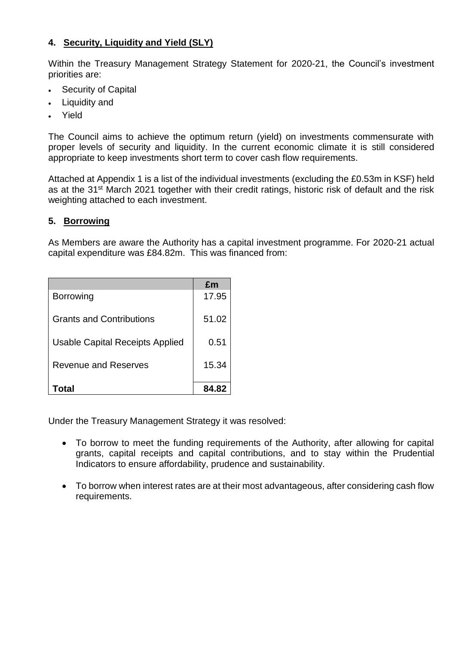## **4. Security, Liquidity and Yield (SLY)**

Within the Treasury Management Strategy Statement for 2020-21, the Council's investment priorities are:

- Security of Capital
- Liquidity and
- Yield

The Council aims to achieve the optimum return (yield) on investments commensurate with proper levels of security and liquidity. In the current economic climate it is still considered appropriate to keep investments short term to cover cash flow requirements.

Attached at Appendix 1 is a list of the individual investments (excluding the £0.53m in KSF) held as at the 31<sup>st</sup> March 2021 together with their credit ratings, historic risk of default and the risk weighting attached to each investment.

## **5. Borrowing**

As Members are aware the Authority has a capital investment programme. For 2020-21 actual capital expenditure was £84.82m. This was financed from:

|                                 | £m    |
|---------------------------------|-------|
| <b>Borrowing</b>                | 17.95 |
| <b>Grants and Contributions</b> | 51.02 |
| Usable Capital Receipts Applied | 0.51  |
| <b>Revenue and Reserves</b>     | 15.34 |
| Total                           | 84.82 |

Under the Treasury Management Strategy it was resolved:

- To borrow to meet the funding requirements of the Authority, after allowing for capital grants, capital receipts and capital contributions, and to stay within the Prudential Indicators to ensure affordability, prudence and sustainability.
- To borrow when interest rates are at their most advantageous, after considering cash flow requirements.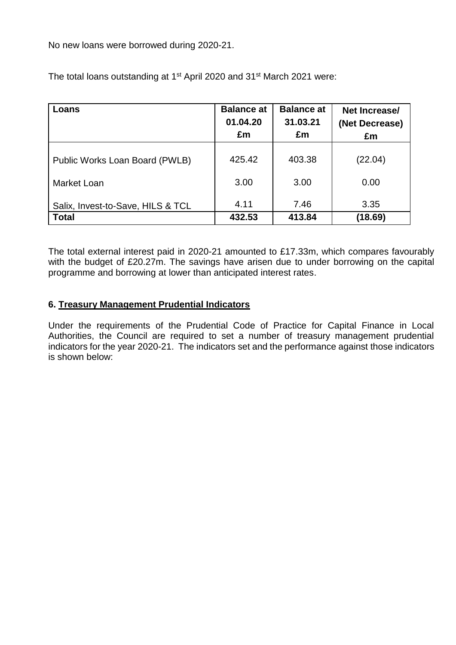No new loans were borrowed during 2020-21.

| Loans                             | <b>Balance at</b> | <b>Balance at</b> | Net Increase/  |
|-----------------------------------|-------------------|-------------------|----------------|
|                                   | 01.04.20          | 31.03.21          | (Net Decrease) |
|                                   | £m                | £m                | £m             |
| Public Works Loan Board (PWLB)    | 425.42            | 403.38            | (22.04)        |
| Market Loan                       | 3.00              | 3.00              | 0.00           |
| Salix, Invest-to-Save, HILS & TCL | 4.11              | 7.46              | 3.35           |
| <b>Total</b>                      | 432.53            | 413.84            | (18.69)        |

The total loans outstanding at 1st April 2020 and 31st March 2021 were:

The total external interest paid in 2020-21 amounted to £17.33m, which compares favourably with the budget of £20.27m. The savings have arisen due to under borrowing on the capital programme and borrowing at lower than anticipated interest rates.

## **6. Treasury Management Prudential Indicators**

Under the requirements of the Prudential Code of Practice for Capital Finance in Local Authorities, the Council are required to set a number of treasury management prudential indicators for the year 2020-21. The indicators set and the performance against those indicators is shown below: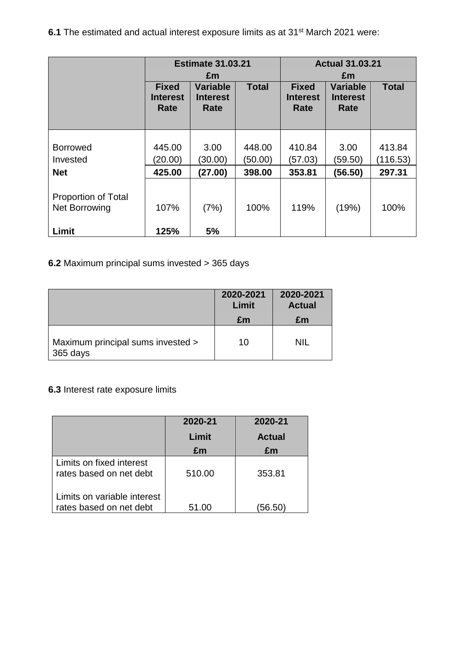**6.1** The estimated and actual interest exposure limits as at 31<sup>st</sup> March 2021 were:

|                                             | <b>Estimate 31.03.21</b>                |                                                  |                   | <b>Actual 31.03.21</b><br>£m            |                                            |                    |
|---------------------------------------------|-----------------------------------------|--------------------------------------------------|-------------------|-----------------------------------------|--------------------------------------------|--------------------|
|                                             | <b>Fixed</b><br><b>Interest</b><br>Rate | £m<br><b>Variable</b><br><b>Interest</b><br>Rate | <b>Total</b>      | <b>Fixed</b><br><b>Interest</b><br>Rate | <b>Variable</b><br><b>Interest</b><br>Rate | <b>Total</b>       |
| <b>Borrowed</b><br>Invested                 | 445.00<br>(20.00)                       | 3.00<br>(30.00)                                  | 448.00<br>(50.00) | 410.84<br>(57.03)                       | 3.00<br>(59.50)                            | 413.84<br>(116.53) |
| <b>Net</b>                                  | 425.00                                  | (27.00)                                          | 398.00            | 353.81                                  | (56.50)                                    | 297.31             |
| <b>Proportion of Total</b><br>Net Borrowing | 107%                                    | (7%)                                             | 100%              | 119%                                    | (19%)                                      | 100%               |
| Limit                                       | 125%                                    | 5%                                               |                   |                                         |                                            |                    |

# **6.2** Maximum principal sums invested > 365 days

|                                               | 2020-2021<br>Limit | 2020-2021<br><b>Actual</b> |
|-----------------------------------------------|--------------------|----------------------------|
|                                               | £m                 | £m                         |
| Maximum principal sums invested ><br>365 days | 10                 | <b>NIL</b>                 |

# **6.3** Interest rate exposure limits

|                                                        | 2020-21 | 2020-21       |
|--------------------------------------------------------|---------|---------------|
|                                                        | Limit   | <b>Actual</b> |
|                                                        | £m      | £m            |
| Limits on fixed interest<br>rates based on net debt    | 510.00  | 353.81        |
| Limits on variable interest<br>rates based on net debt | 51.00   | (56.50)       |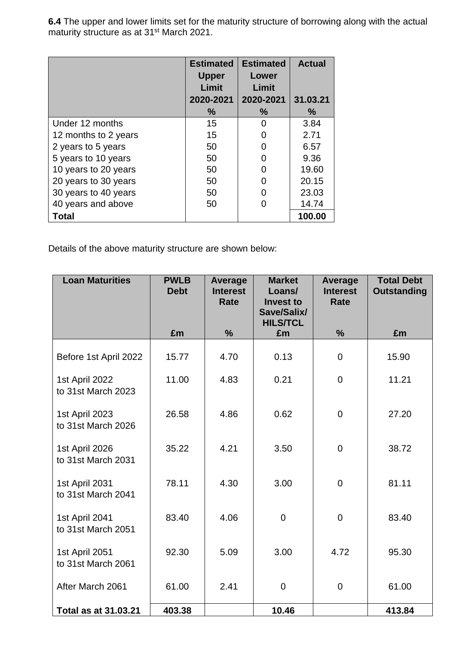**6.4** The upper and lower limits set for the maturity structure of borrowing along with the actual maturity structure as at 31<sup>st</sup> March 2021.

|                      | <b>Estimated</b> | <b>Estimated</b>  | <b>Actual</b> |
|----------------------|------------------|-------------------|---------------|
|                      | <b>Upper</b>     | Lower             |               |
|                      | Limit            | Limit             |               |
|                      | 2020-2021        | 2020-2021         | 31,03,21      |
|                      | $\frac{9}{6}$    | $\frac{0}{0}$     | $\frac{9}{6}$ |
| Under 12 months      | 15               | 0                 | 3.84          |
| 12 months to 2 years | 15               |                   | 2.71          |
| 2 years to 5 years   | 50               | $\mathbf{\Omega}$ | 6.57          |
| 5 years to 10 years  | 50               | 0                 | 9.36          |
| 10 years to 20 years | 50               | O                 | 19.60         |
| 20 years to 30 years | 50               | O                 | 20.15         |
| 30 years to 40 years | 50               |                   | 23.03         |
| 40 years and above   | 50               |                   | 14.74         |
| Total                |                  |                   | 100.00        |

Details of the above maturity structure are shown below:

| <b>Loan Maturities</b>               | <b>PWLB</b><br><b>Debt</b> | Average<br><b>Interest</b><br>Rate | <b>Market</b><br>Loans/<br><b>Invest to</b><br>Save/Salix/ | <b>Average</b><br><b>Interest</b><br>Rate | <b>Total Debt</b><br><b>Outstanding</b> |
|--------------------------------------|----------------------------|------------------------------------|------------------------------------------------------------|-------------------------------------------|-----------------------------------------|
|                                      | £m                         | $\frac{9}{6}$                      | <b>HILS/TCL</b><br>£m                                      | %                                         | £m                                      |
| Before 1st April 2022                | 15.77                      | 4.70                               | 0.13                                                       | $\mathbf 0$                               | 15.90                                   |
| 1st April 2022<br>to 31st March 2023 | 11.00                      | 4.83                               | 0.21                                                       | 0                                         | 11.21                                   |
| 1st April 2023<br>to 31st March 2026 | 26.58                      | 4.86                               | 0.62                                                       | $\mathbf 0$                               | 27.20                                   |
| 1st April 2026<br>to 31st March 2031 | 35.22                      | 4.21                               | 3.50                                                       | $\mathbf 0$                               | 38.72                                   |
| 1st April 2031<br>to 31st March 2041 | 78.11                      | 4.30                               | 3.00                                                       | 0                                         | 81.11                                   |
| 1st April 2041<br>to 31st March 2051 | 83.40                      | 4.06                               | $\overline{0}$                                             | $\overline{0}$                            | 83.40                                   |
| 1st April 2051<br>to 31st March 2061 | 92.30                      | 5.09                               | 3.00                                                       | 4.72                                      | 95.30                                   |
| After March 2061                     | 61.00                      | 2.41                               | $\mathbf 0$                                                | $\overline{0}$                            | 61.00                                   |
| <b>Total as at 31.03.21</b>          | 403.38                     |                                    | 10.46                                                      |                                           | 413.84                                  |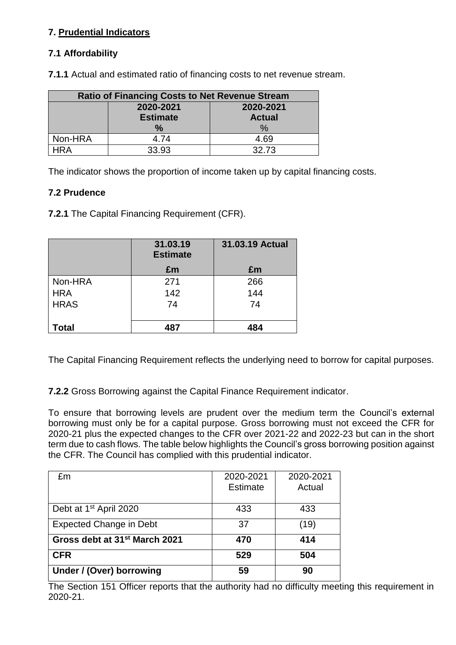# **7. Prudential Indicators**

# **7.1 Affordability**

| <b>Ratio of Financing Costs to Net Revenue Stream</b> |                        |               |  |  |  |
|-------------------------------------------------------|------------------------|---------------|--|--|--|
|                                                       | 2020-2021<br>2020-2021 |               |  |  |  |
|                                                       | <b>Estimate</b>        | <b>Actual</b> |  |  |  |
|                                                       | ℅                      | %             |  |  |  |
| Non-HRA                                               | 4.74                   | 4.69          |  |  |  |
| IR A                                                  | 33.93                  | 32.73         |  |  |  |

**7.1.1** Actual and estimated ratio of financing costs to net revenue stream.

The indicator shows the proportion of income taken up by capital financing costs.

### **7.2 Prudence**

**7.2.1** The Capital Financing Requirement (CFR).

|             | 31.03.19<br><b>Estimate</b> | 31.03.19 Actual |
|-------------|-----------------------------|-----------------|
|             | £m                          | £m              |
| Non-HRA     | 271                         | 266             |
| <b>HRA</b>  | 142                         | 144             |
| <b>HRAS</b> | 74                          | 74              |
|             |                             |                 |
| Total       | 487                         | 484             |

The Capital Financing Requirement reflects the underlying need to borrow for capital purposes.

**7.2.2** Gross Borrowing against the Capital Finance Requirement indicator.

To ensure that borrowing levels are prudent over the medium term the Council's external borrowing must only be for a capital purpose. Gross borrowing must not exceed the CFR for 2020-21 plus the expected changes to the CFR over 2021-22 and 2022-23 but can in the short term due to cash flows. The table below highlights the Council's gross borrowing position against the CFR. The Council has complied with this prudential indicator.

| £m                                        | 2020-2021<br>Estimate | 2020-2021<br>Actual |
|-------------------------------------------|-----------------------|---------------------|
|                                           |                       |                     |
| Debt at 1 <sup>st</sup> April 2020        | 433                   | 433                 |
| <b>Expected Change in Debt</b>            | 37                    | (19)                |
| Gross debt at 31 <sup>st</sup> March 2021 | 470                   | 414                 |
| <b>CFR</b>                                | 529                   | 504                 |
| Under / (Over) borrowing                  | 59                    | 90                  |

The Section 151 Officer reports that the authority had no difficulty meeting this requirement in 2020-21.